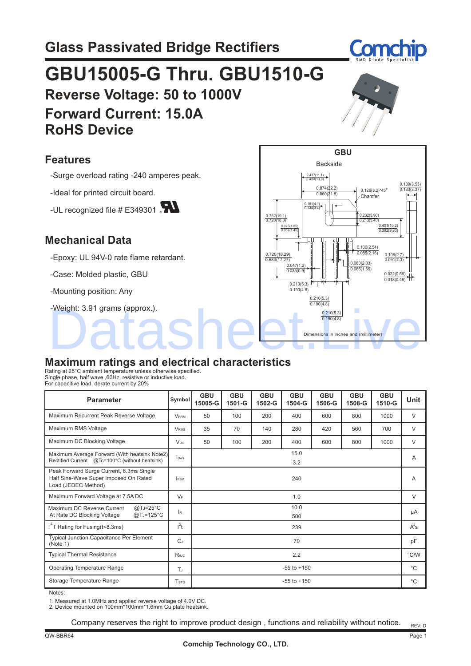## **GBU15005-G Thru. GBU1510-G Reverse Voltage: 50 to 1000V Forward Current: 15.0A RoHS Device**

### **Features**

-Surge overload rating -240 amperes peak.

-Ideal for printed circuit board.

-UL recognized file  $#E$ 349301

### **Mechanical Data**

-Epoxy: UL 94V-0 rate flame retardant.

-Case: Molded plastic, GBU

-Mounting position: Any

-Weight: 3.91 grams (approx.).

# **Maximum ratings and electrical characteristics** -Weight: 3.91 grams (approx.).<br> $\frac{0.210(4.8)}{0.190(4.8)}$

Rating at 25°C ambient temperature unless otherwise specified. Single phase, half wave ,60Hz, resistive or inductive load. For capacitive load, derate current by 20%

| <b>Parameter</b>                                                                                         | Symbol                  | <b>GBU</b><br>15005-G | <b>GBU</b><br>1501-G | <b>GBU</b><br>1502-G | <b>GBU</b><br>1504-G | <b>GBU</b><br>1506-G | <b>GBU</b><br>1508-G | <b>GBU</b><br>1510-G | Unit   |
|----------------------------------------------------------------------------------------------------------|-------------------------|-----------------------|----------------------|----------------------|----------------------|----------------------|----------------------|----------------------|--------|
| Maximum Recurrent Peak Reverse Voltage                                                                   | <b>VRRM</b>             | 50                    | 100                  | 200                  | 400                  | 600                  | 800                  | 1000                 | $\vee$ |
| Maximum RMS Voltage                                                                                      | <b>V</b> <sub>RMS</sub> | 35                    | 70                   | 140                  | 280                  | 420                  | 560                  | 700                  | V      |
| Maximum DC Blocking Voltage                                                                              | <b>V<sub>DC</sub></b>   | 50                    | 100                  | 200                  | 400                  | 600                  | 800                  | 1000                 | V      |
| Maximum Average Forward (With heatsink Note2)<br>Rectified Current @Tc=100°C (without heatsink)          | I(AV)                   | 15.0<br>3.2           |                      |                      |                      |                      | A                    |                      |        |
| Peak Forward Surge Current, 8.3ms Single<br>Half Sine-Wave Super Imposed On Rated<br>Load (JEDEC Method) | <b>FSM</b>              | 240                   |                      |                      |                      |                      | Α                    |                      |        |
| Maximum Forward Voltage at 7.5A DC                                                                       | $V_F$                   | 1.0                   |                      |                      |                      | V                    |                      |                      |        |
| $@TJ=25°C$<br>Maximum DC Reverse Current<br>$@TJ=125°C$<br>At Rate DC Blocking Voltage                   | $\mathsf{R}$            | 10.0<br>500           |                      |                      |                      |                      | μA                   |                      |        |
| $I2$ T Rating for Fusing (t<8.3ms)                                                                       | $l^2t$                  | 239                   |                      |                      |                      | $A^2s$               |                      |                      |        |
| <b>Typical Junction Capacitance Per Element</b><br>(Note 1)                                              | $C_J$                   | 70                    |                      |                      |                      | pF                   |                      |                      |        |
| <b>Typical Thermal Resistance</b>                                                                        | Reuc                    | 2.2                   |                      |                      |                      |                      | $\degree$ C/W        |                      |        |
| <b>Operating Temperature Range</b>                                                                       | T                       | $-55$ to $+150$       |                      |                      |                      | $^{\circ}C$          |                      |                      |        |
| Storage Temperature Range                                                                                | <b>T</b> <sub>STG</sub> | $-55$ to $+150$       |                      |                      |                      | °С                   |                      |                      |        |

Notes:

1. Measured at 1.0MHz and applied reverse voltage of 4.0V DC. 2. Device mounted on 100mm\*100mm\*1.6mm Cu plate heatsink.

Company reserves the right to improve product design , functions and reliability without notice.



Com

 $\frac{0.874(\frac{22.2}{})}{0.266(3.2)^*45^{\circ}}$   $\frac{0.133(3.37)}{0.023(3.37)}$ 

**Chamfer** 

0.232(5.90) 0.213(5.40)

0.100(2.54) 0.085(2.16) 0.080(2.03) 0.065(1.65)

0.022(0.56) 0.018(0.46)

0.106(2.7) 0.091(2.3)

0.401(10.2) 0.392(9.80) Í

)<br>P

Dimensions in inches and (millimeter)

0.210(5.3)  $0.190(4.8)$ 

0.210(5.3) 0.190(4.8)

0.210(5.3)  $0.190(A.8)$ 

 $0.047(1.2)$  $0.035(0.9)$ 

Ţ 0.073(1.85) 0.057(1.45)

0.752(19.1) 0.720(18.3)

0.720(18.29) 0.680(17.27)

**GBU**

 $0.860(21.8)$ 

Backside

0.161(4.1) 0.134(3.4)

0.437(11.1) 0.430(10.9)



 $\frac{0.139(3.53)}{0.133(3.37)}$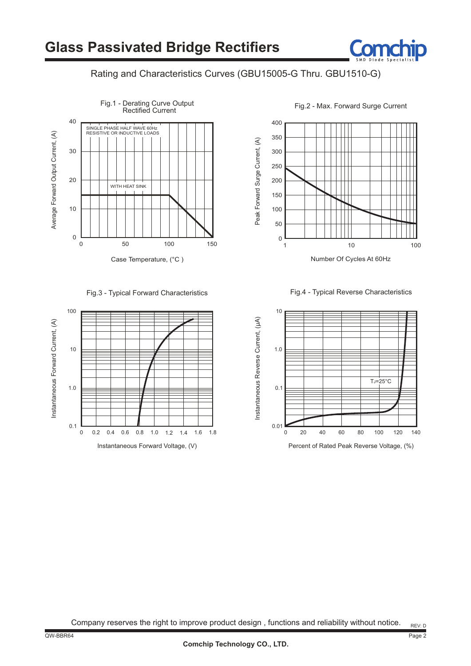#### Rating and Characteristics Curves (GBU15005-G Thru. GBU1510-G)





400 350 Peak Forward Surge Current, (A) Peak Forward Surge Current, (A) 300 250 200 150 100 50  $0\frac{1}{1}$ 1 10 100 Number Of Cycles At 60Hz

Fig.3 - Typical Forward Characteristics Fig.4 - Typical Reverse Characteristics



Company reserves the right to improve product design , functions and reliability without notice.

Page 2 REV: D